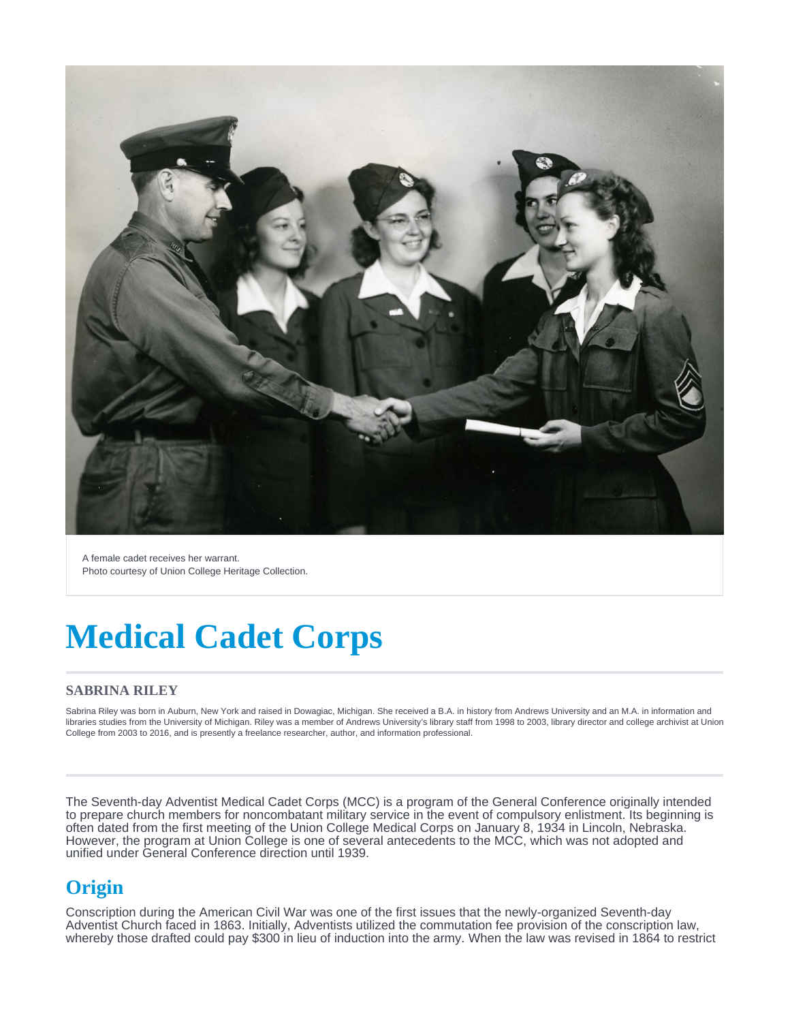

A female cadet receives her warrant. Photo courtesy of Union College Heritage Collection.

# **Medical Cadet Corps**

#### **SABRINA RILEY**

Sabrina Riley was born in Auburn, New York and raised in Dowagiac, Michigan. She received a B.A. in history from Andrews University and an M.A. in information and libraries studies from the University of Michigan. Riley was a member of Andrews University's library staff from 1998 to 2003, library director and college archivist at Union College from 2003 to 2016, and is presently a freelance researcher, author, and information professional.

The Seventh-day Adventist Medical Cadet Corps (MCC) is a program of the General Conference originally intended to prepare church members for noncombatant military service in the event of compulsory enlistment. Its beginning is often dated from the first meeting of the Union College Medical Corps on January 8, 1934 in Lincoln, Nebraska. However, the program at Union College is one of several antecedents to the MCC, which was not adopted and unified under General Conference direction until 1939.

## **Origin**

Conscription during the American Civil War was one of the first issues that the newly-organized Seventh-day Adventist Church faced in 1863. Initially, Adventists utilized the commutation fee provision of the conscription law, whereby those drafted could pay \$300 in lieu of induction into the army. When the law was revised in 1864 to restrict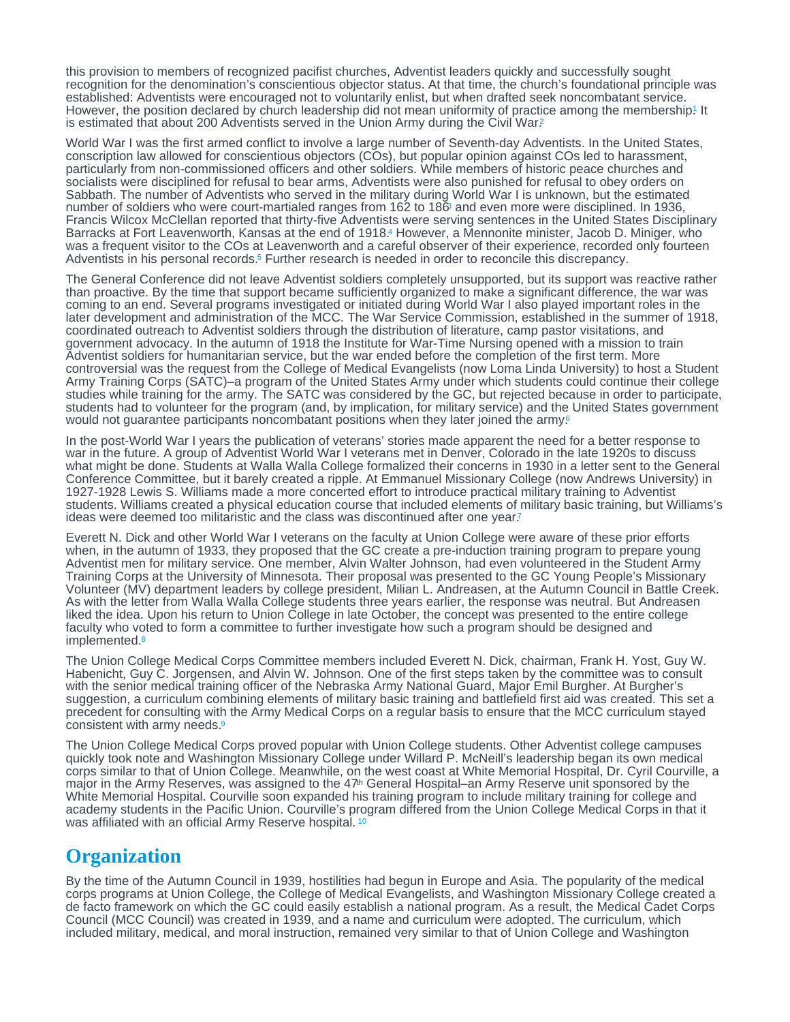<span id="page-1-0"></span>this provision to members of recognized pacifist churches, Adventist leaders quickly and successfully sought recognition for the denomination's conscientious objector status. At that time, the church's foundational principle was established: Adventists were encouraged not to voluntarily enlist, but when drafted seek noncombatant service. However, the position declared by church leadership did not mean uniformity of practice among the membership! It is estimated that about [2](#page-4-0)00 Adventists served in the Union Army during the Civil War?

World War I was the first armed conflict to involve a large number of Seventh-day Adventists. In the United States, conscription law allowed for conscientious objectors (COs), but popular opinion against COs led to harassment, particularly from non-commissioned officers and other soldiers. While members of historic peace churches and socialists were disciplined for refusal to bear arms, Adventists were also punished for refusal to obey orders on Sabbath. The number of Adventists who served in the military during World War I is unknown, but the estimated number of soldiers who were court-martialed ranges from 1[6](#page-4-0)2 to 186 and even more were disciplined. In 1936, Francis Wilcox McClellan reported that thirty-five Adventists were serving sentences in the United States Disciplinary Barracks at Fort Leavenworth, Kansas at the end of 1918[.](#page-4-0) However, a Mennonite minister, Jacob D. Miniger, who was a frequent visitor to the COs at Leavenworth and a careful observer of their experience, recorded only fourteen Adventists in his personal records.<sup>5</sup> Further research is needed in order to reconcile this discrepancy.

The General Conference did not leave Adventist soldiers completely unsupported, but its support was reactive rather than proactive. By the time that support became sufficiently organized to make a significant difference, the war was coming to an end. Several programs investigated or initiated during World War I also played important roles in the later development and administration of the MCC. The War Service Commission, established in the summer of 1918, coordinated outreach to Adventist soldiers through the distribution of literature, camp pastor visitations, and government advocacy. In the autumn of 1918 the Institute for War-Time Nursing opened with a mission to train Adventist soldiers for humanitarian service, but the war ended before the completion of the first term. More controversial was the request from the College of Medical Evangelists (now Loma Linda University) to host a Student Army Training Corps (SATC)–a program of the United States Army under which students could continue their college studies while training for the army. The SATC was considered by the GC, but rejected because in order to participate, students had to volunteer for the program (and, by implication, for military service) and the United States government would not guarantee participants noncombatant positions when they later joined the army.<sup>[6](#page-4-0)</sup>

In the post-World War I years the publication of veterans' stories made apparent the need for a better response to war in the future. A group of Adventist World War I veterans met in Denver, Colorado in the late 1920s to discuss what might be done. Students at Walla Walla College formalized their concerns in 1930 in a letter sent to the General Conference Committee, but it barely created a ripple. At Emmanuel Missionary College (now Andrews University) in 1927-1928 Lewis S. Williams made a more concerted effort to introduce practical military training to Adventist students. Williams created a physical education course that included elements of military basic training, but Williams's ideas were deemed too militaristic and the class was discontinued after one year?

Everett N. Dick and other World War I veterans on the faculty at Union College were aware of these prior efforts when, in the autumn of 1933, they proposed that the GC create a pre-induction training program to prepare young Adventist men for military service. One member, Alvin Walter Johnson, had even volunteered in the Student Army Training Corps at the University of Minnesota. Their proposal was presented to the GC Young People's Missionary Volunteer (MV) department leaders by college president, Milian L. Andreasen, at the Autumn Council in Battle Creek. As with the letter from Walla Walla College students three years earlier, the response was neutral. But Andreasen liked the idea. Upon his return to Union College in late October, the concept was presented to the entire college faculty who voted to form a committee to further investigate how such a program should be designed and implemented.<sup>[8](#page-4-0)</sup>

The Union College Medical Corps Committee members included Everett N. Dick, chairman, Frank H. Yost, Guy W. Habenicht, Guy C. Jorgensen, and Alvin W. Johnson. One of the first steps taken by the committee was to consult with the senior medical training officer of the Nebraska Army National Guard, Major Emil Burgher. At Burgher's suggestion, a curriculum combining elements of military basic training and battlefield first aid was created. This set a precedent for consulting with the Army Medical Corps on a regular basis to ensure that the MCC curriculum stayed consistent with army needs.[9](#page-4-0)

The Union College Medical Corps proved popular with Union College students. Other Adventist college campuses quickly took note and Washington Missionary College under Willard P. McNeill's leadership began its own medical corps similar to that of Union College. Meanwhile, on the west coast at White Memorial Hospital, Dr. Cyril Courville, a major in the Army Reserves, was assigned to the 47<sup>th</sup> General Hospital–an Army Reserve unit sponsored by the White Memorial Hospital. Courville soon expanded his training program to include military training for college and academy students in the Pacific Union. Courville's program differed from the Union College Medical Corps in that it was affiliated with an official Army Reserve hospital.<sup>[10](#page-4-0)</sup>

## **Organization**

By the time of the Autumn Council in 1939, hostilities had begun in Europe and Asia. The popularity of the medical corps programs at Union College, the College of Medical Evangelists, and Washington Missionary College created a de facto framework on which the GC could easily establish a national program. As a result, the Medical Cadet Corps Council (MCC Council) was created in 1939, and a name and curriculum were adopted. The curriculum, which included military, medical, and moral instruction, remained very similar to that of Union College and Washington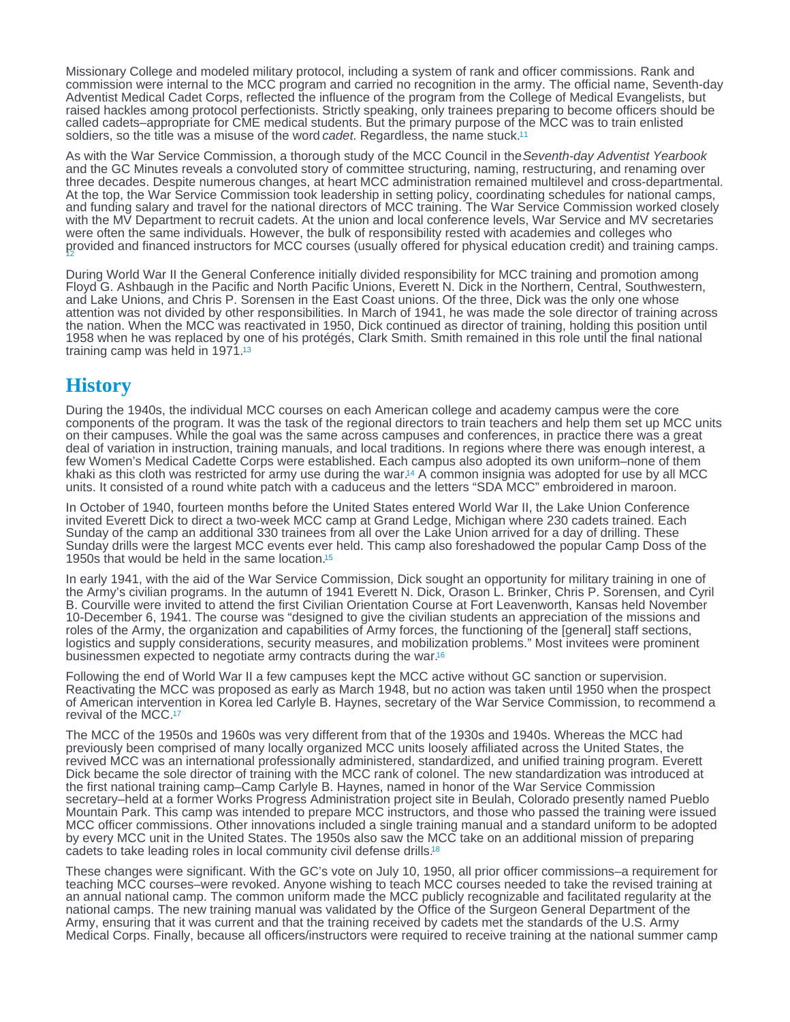<span id="page-2-0"></span>Missionary College and modeled military protocol, including a system of rank and officer commissions. Rank and commission were internal to the MCC program and carried no recognition in the army. The official name, Seventh-day Adventist Medical Cadet Corps, reflected the influence of the program from the College of Medical Evangelists, but raised hackles among protocol perfectionists. Strictly speaking, only trainees preparing to become officers should be called cadets–appropriate for CME medical students. But the primary purpose of the MCC was to train enlisted soldiers, so the title was a misuse of the word cadet. Regardless, the name stuck.<sup>[11](#page-4-0)</sup>

As with the War Service Commission, a thorough study of the MCC Council in the Seventh-day Adventist Yearbook and the GC Minutes reveals a convoluted story of committee structuring, naming, restructuring, and renaming over three decades. Despite numerous changes, at heart MCC administration remained multilevel and cross-departmental. At the top, the War Service Commission took leadership in setting policy, coordinating schedules for national camps, and funding salary and travel for the national directors of MCC training. The War Service Commission worked closely with the MV Department to recruit cadets. At the union and local conference levels, War Service and MV secretaries were often the same individuals. However, the bulk of responsibility rested with academies and colleges who provided and financed instructors for MCC courses (usually offered for physical education credit) and training camps. [12](#page-4-0)

During World War II the General Conference initially divided responsibility for MCC training and promotion among Floyd G. Ashbaugh in the Pacific and North Pacific Unions, Everett N. Dick in the Northern, Central, Southwestern, and Lake Unions, and Chris P. Sorensen in the East Coast unions. Of the three, Dick was the only one whose attention was not divided by other responsibilities. In March of 1941, he was made the sole director of training across the nation. When the MCC was reactivated in 1950, Dick continued as director of training, holding this position until 1958 when he was replaced by one of his protégés, Clark Smith. Smith remained in this role until the final national training camp was held in 1971.[13](#page-5-0)

## **History**

During the 1940s, the individual MCC courses on each American college and academy campus were the core components of the program. It was the task of the regional directors to train teachers and help them set up MCC units on their campuses. While the goal was the same across campuses and conferences, in practice there was a great deal of variation in instruction, training manuals, and local traditions. In regions where there was enough interest, a few Women's Medical Cadette Corps were established. Each campus also adopted its own uniform–none of them khaki as this cloth was restricted for army use during the war.<sup>14</sup> A common insignia was adopted for use by all MCC units. It consisted of a round white patch with a caduceus and the letters "SDA MCC" embroidered in maroon.

In October of 1940, fourteen months before the United States entered World War II, the Lake Union Conference invited Everett Dick to direct a two-week MCC camp at Grand Ledge, Michigan where 230 cadets trained. Each Sunday of the camp an additional 330 trainees from all over the Lake Union arrived for a day of drilling. These Sunday drills were the largest MCC events ever held. This camp also foreshadowed the popular Camp Doss of the 1950s that would be held in the same location.[15](#page-5-0)

In early 1941, with the aid of the War Service Commission, Dick sought an opportunity for military training in one of the Army's civilian programs. In the autumn of 1941 Everett N. Dick, Orason L. Brinker, Chris P. Sorensen, and Cyril B. Courville were invited to attend the first Civilian Orientation Course at Fort Leavenworth, Kansas held November 10-December 6, 1941. The course was "designed to give the civilian students an appreciation of the missions and roles of the Army, the organization and capabilities of Army forces, the functioning of the [general] staff sections, logistics and supply considerations, security measures, and mobilization problems." Most invitees were prominent businessmen expected to negotiate army contracts during the war.[16](#page-5-0)

Following the end of World War II a few campuses kept the MCC active without GC sanction or supervision. Reactivating the MCC was proposed as early as March 1948, but no action was taken until 1950 when the prospect of American intervention in Korea led Carlyle B. Haynes, secretary of the War Service Commission, to recommend a revival of the MCC.[17](#page-5-0)

The MCC of the 1950s and 1960s was very different from that of the 1930s and 1940s. Whereas the MCC had previously been comprised of many locally organized MCC units loosely affiliated across the United States, the revived MCC was an international professionally administered, standardized, and unified training program. Everett Dick became the sole director of training with the MCC rank of colonel. The new standardization was introduced at the first national training camp–Camp Carlyle B. Haynes, named in honor of the War Service Commission secretary–held at a former Works Progress Administration project site in Beulah, Colorado presently named Pueblo Mountain Park. This camp was intended to prepare MCC instructors, and those who passed the training were issued MCC officer commissions. Other innovations included a single training manual and a standard uniform to be adopted by every MCC unit in the United States. The 1950s also saw the MCC take on an additional mission of preparing cadets to take leading roles in local community civil defense drills.[18](#page-5-0)

These changes were significant. With the GC's vote on July 10, 1950, all prior officer commissions–a requirement for teaching MCC courses–were revoked. Anyone wishing to teach MCC courses needed to take the revised training at an annual national camp. The common uniform made the MCC publicly recognizable and facilitated regularity at the national camps. The new training manual was validated by the Office of the Surgeon General Department of the Army, ensuring that it was current and that the training received by cadets met the standards of the U.S. Army Medical Corps. Finally, because all officers/instructors were required to receive training at the national summer camp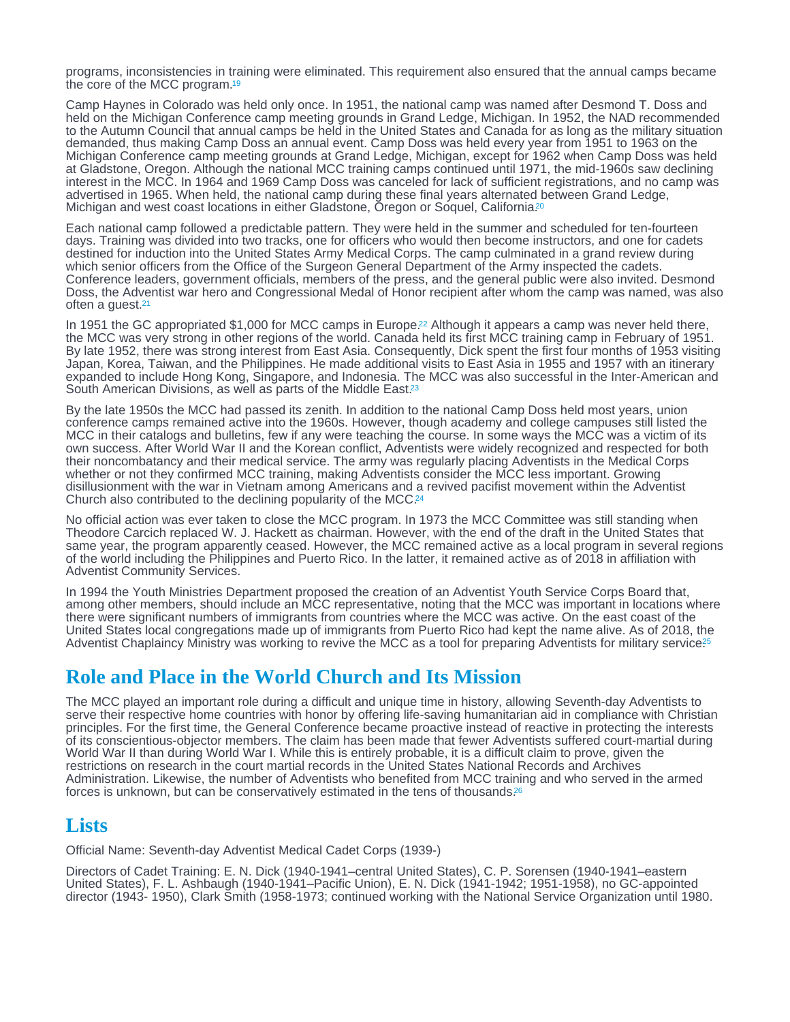<span id="page-3-0"></span>programs, inconsistencies in training were eliminated. This requirement also ensured that the annual camps became the core of the MCC program.[19](#page-5-0)

Camp Haynes in Colorado was held only once. In 1951, the national camp was named after Desmond T. Doss and held on the Michigan Conference camp meeting grounds in Grand Ledge, Michigan. In 1952, the NAD recommended to the Autumn Council that annual camps be held in the United States and Canada for as long as the military situation demanded, thus making Camp Doss an annual event. Camp Doss was held every year from 1951 to 1963 on the Michigan Conference camp meeting grounds at Grand Ledge, Michigan, except for 1962 when Camp Doss was held at Gladstone, Oregon. Although the national MCC training camps continued until 1971, the mid-1960s saw declining interest in the MCC. In 1964 and 1969 Camp Doss was canceled for lack of sufficient registrations, and no camp was advertised in 1965. When held, the national camp during these final years alternated between Grand Ledge, Michigan and west coast locations in either Gladstone, Oregon or Soquel, California.<sup>[20](#page-5-0)</sup>

Each national camp followed a predictable pattern. They were held in the summer and scheduled for ten-fourteen days. Training was divided into two tracks, one for officers who would then become instructors, and one for cadets destined for induction into the United States Army Medical Corps. The camp culminated in a grand review during which senior officers from the Office of the Surgeon General Department of the Army inspected the cadets. Conference leaders, government officials, members of the press, and the general public were also invited. Desmond Doss, the Adventist war hero and Congressional Medal of Honor recipient after whom the camp was named, was also often a guest.[21](#page-5-0)

In 1951 the GC appropriated \$1,000 for MCC camps in Europe[.](#page-5-0)<sup>22</sup> Although it appears a camp was never held there, the MCC was very strong in other regions of the world. Canada held its first MCC training camp in February of 1951. By late 1952, there was strong interest from East Asia. Consequently, Dick spent the first four months of 1953 visiting Japan, Korea, Taiwan, and the Philippines. He made additional visits to East Asia in 1955 and 1957 with an itinerary expanded to include Hong Kong, Singapore, and Indonesia. The MCC was also successful in the Inter-American and South American Divisions, as well as parts of the Middle East.<sup>[23](#page-5-0)</sup>

By the late 1950s the MCC had passed its zenith. In addition to the national Camp Doss held most years, union conference camps remained active into the 1960s. However, though academy and college campuses still listed the MCC in their catalogs and bulletins, few if any were teaching the course. In some ways the MCC was a victim of its own success. After World War II and the Korean conflict, Adventists were widely recognized and respected for both their noncombatancy and their medical service. The army was regularly placing Adventists in the Medical Corps whether or not they confirmed MCC training, making Adventists consider the MCC less important. Growing disillusionment with the war in Vietnam among Americans and a revived pacifist movement within the Adventist Church also contributed to the declining popularity of the MCC.[24](#page-5-0)

No official action was ever taken to close the MCC program. In 1973 the MCC Committee was still standing when Theodore Carcich replaced W. J. Hackett as chairman. However, with the end of the draft in the United States that same year, the program apparently ceased. However, the MCC remained active as a local program in several regions of the world including the Philippines and Puerto Rico. In the latter, it remained active as of 2018 in affiliation with Adventist Community Services.

In 1994 the Youth Ministries Department proposed the creation of an Adventist Youth Service Corps Board that, among other members, should include an MCC representative, noting that the MCC was important in locations where there were significant numbers of immigrants from countries where the MCC was active. On the east coast of the United States local congregations made up of immigrants from Puerto Rico had kept the name alive. As of 2018, the Adventist Chaplaincy Ministry was working to revive the MCC as a tool for preparing Adventists for military service<sup>[25](#page-5-0)</sup>

## Role and Place in the World Church and Its Mission

The MCC played an important role during a difficult and unique time in history, allowing Seventh-day Adventists to serve their respective home countries with honor by offering life-saving humanitarian aid in compliance with Christian principles. For the first time, the General Conference became proactive instead of reactive in protecting the interests of its conscientious-objector members. The claim has been made that fewer Adventists suffered court-martial during World War II than during World War I. While this is entirely probable, it is a difficult claim to prove, given the restrictions on research in the court martial records in the United States National Records and Archives Administration. Likewise, the number of Adventists who benefited from MCC training and who served in the armed forces is unknown, but can be conservatively estimated in the tens of thousands.<sup>[26](#page-5-0)</sup>

#### Lists

Official Name: Seventh-day Adventist Medical Cadet Corps (1939-)

Directors of Cadet Training: E. N. Dick (1940-1941–central United States), C. P. Sorensen (1940-1941–eastern United States), F. L. Ashbaugh (1940-1941–Pacific Union), E. N. Dick (1941-1942; 1951-1958), no GC-appointed director (1943- 1950), Clark Smith (1958-1973; continued working with the National Service Organization until 1980.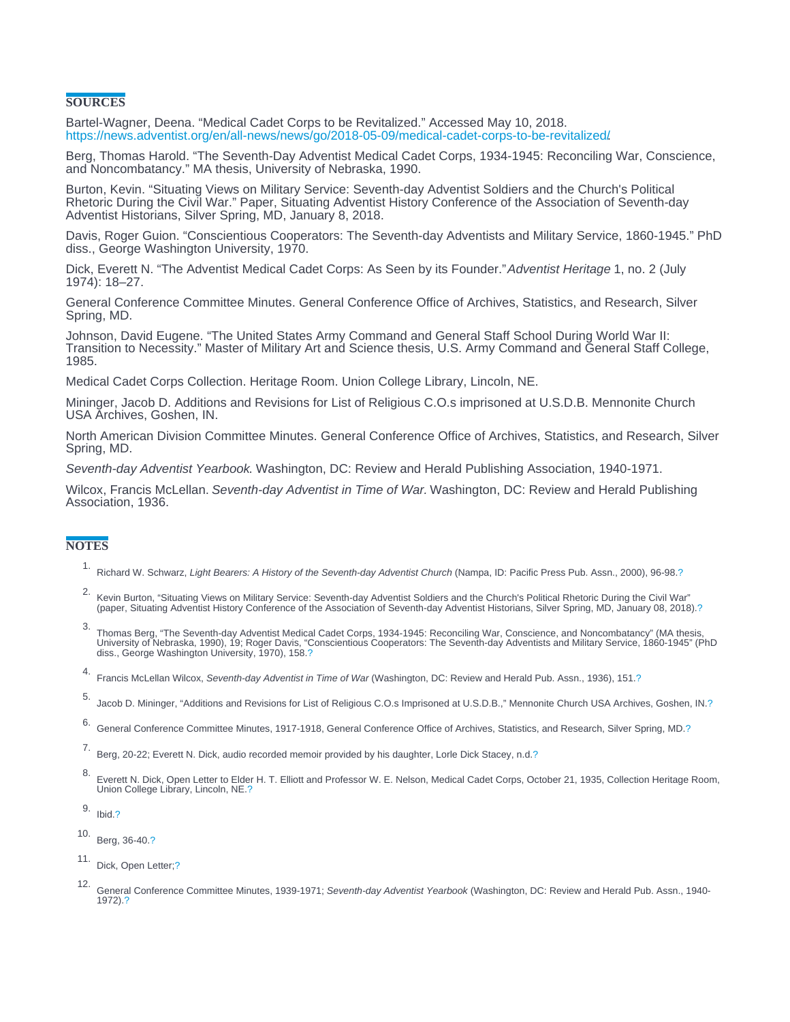#### <span id="page-4-0"></span>**SOURCES**

Bartel-Wagner, Deena. "Medical Cadet Corps to be Revitalized." Accessed May 10, 2018. [https://news.adventist.org/en/all-news/news/go/2018-05-09/medical-cadet-corps-to-be-revitalized/.](https://news.adventist.org/en/all-news/news/go/2018-05-09/medical-cadet-corps-to-be-revitalized/)

Berg, Thomas Harold. "The Seventh-Day Adventist Medical Cadet Corps, 1934-1945: Reconciling War, Conscience, and Noncombatancy." MA thesis, University of Nebraska, 1990.

Burton, Kevin. "Situating Views on Military Service: Seventh-day Adventist Soldiers and the Church's Political Rhetoric During the Civil War." Paper, Situating Adventist History Conference of the Association of Seventh-day Adventist Historians, Silver Spring, MD, January 8, 2018.

Davis, Roger Guion. "Conscientious Cooperators: The Seventh-day Adventists and Military Service, 1860-1945." PhD diss., George Washington University, 1970.

Dick, Everett N. "The Adventist Medical Cadet Corps: As Seen by its Founder." Adventist Heritage 1, no. 2 (July 1974): 18–27.

General Conference Committee Minutes. General Conference Office of Archives, Statistics, and Research, Silver Spring, MD.

Johnson, David Eugene. "The United States Army Command and General Staff School During World War II: Transition to Necessity." Master of Military Art and Science thesis, U.S. Army Command and General Staff College, 1985.

Medical Cadet Corps Collection. Heritage Room. Union College Library, Lincoln, NE.

Mininger, Jacob D. Additions and Revisions for List of Religious C.O.s imprisoned at U.S.D.B. Mennonite Church USA Archives, Goshen, IN.

North American Division Committee Minutes. General Conference Office of Archives, Statistics, and Research, Silver Spring, MD.

Seventh-day Adventist Yearbook. Washington, DC: Review and Herald Publishing Association, 1940-1971.

Wilcox, Francis McLellan. Seventh-day Adventist in Time of War. Washington, DC: Review and Herald Publishing Association, 1936.

#### **NOTES**

- 1. Richard W. Schwarz, Light Bearers: A History of the Seventh-day Adventist Church (Nampa, ID: Pacific Press Pub. Assn., 2000), 96-98.[?](#page-1-0)
- .<br>"Kevin Burton, "Situating Views on Military Service: Seventh-day Adventist Soldiers and the Church's Political Rhetoric During the Civil War"<br>2018). (paper, Situating Adventist History Conference of the Association of Se
- 3.<br>Thomas Berg, "The Seventh-day Adventist Medical Cadet Corps, 1934-1945: Reconciling War, Conscience, and Noncombatancy" (MA thesis,<br>University of Nebraska, 1990), 19; Roger Davis, "Conscientious Cooperators: The Seventh
- 4. Francis McLellan Wilcox, Seventh-day Adventist in Time of War (Washington, DC: Review and Herald Pub. Assn., 1936), 151[.?](#page-1-0)
- 5. Jacob D. Mininger, "Additions and Revisions for List of Religious C.O.s Imprisoned at U.S.D.B.," Mennonite Church USA Archives, Goshen, IN.[?](#page-1-0)

6. General Conference Committee Minutes, 1917-1918, General Conference Office of Archives, Statistics, and Research, Silver Spring, MD[.?](#page-1-0)

7. Berg, 20-22; Everett N. Dick, audio recorded memoir provided by his daughter, Lorle Dick Stacey, n.d[.?](#page-1-0)

- 8. Everett N. Dick, Open Letter to Elder H. T. Elliott and Professor W. E. Nelson, Medical Cadet Corps, October 21, 1935, Collection Heritage Room, Union College Library, Lincoln, NE.[?](#page-1-0)
- 9. Ibid[.?](#page-1-0)

10. Berg, 36-40[.?](#page-1-0)

- 11. Dick, Open Letter[;?](#page-2-0)
- 12. General Conference Committee Minutes, 1939-1971; Seventh-day Adventist Yearbook (Washington, DC: Review and Herald Pub. Assn., 1940- 1972)[.?](#page-2-0)